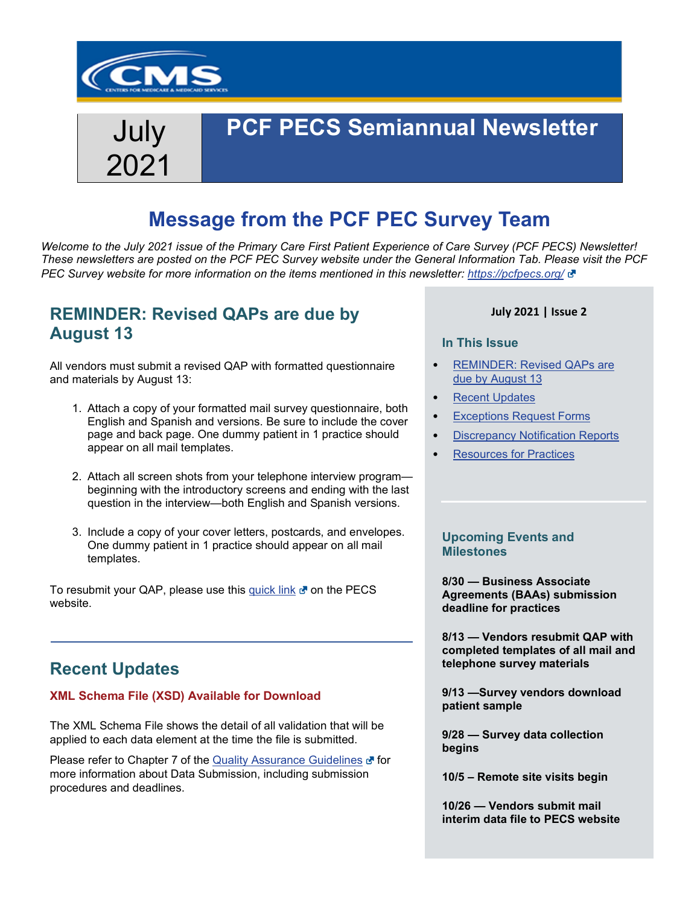

# July 2021

## **PCF PECS Semiannual Newsletter**

## **Message from the PCF PEC Survey Team**

*Welcome to the July 2021 issue of the Primary Care First Patient Experience of Care Survey (PCF PECS) Newsletter! These newsletters are posted on the PCF PEC Survey website under the General Information Tab. Please visit the PCF PEC Survey website for more information on the items mentioned in this newsletter: <https://pcfpecs.org/>*

### <span id="page-0-1"></span>**REMINDER: Revised QAPs are due by August 13**

All vendors must submit a revised QAP with formatted questionnaire and materials by August 13:

- 1. Attach a copy of your formatted mail survey questionnaire, both English and Spanish and versions. Be sure to include the cover page and back page. One dummy patient in 1 practice should appear on all mail templates.
- 2. Attach all screen shots from your telephone interview program beginning with the introductory screens and ending with the last question in the interview—both English and Spanish versions.
- 3. Include a copy of your cover letters, postcards, and envelopes. One dummy patient in 1 practice should appear on all mail templates.

To resubmit your QAP, please use this [quick link](https://pcfpecs.org/Portals/0/Docs/VendorTAQuickLinksSubmittingRevQAPlan.pdf)  $\mathbf{c}^{\prime\prime}$  on the PECS website.

### <span id="page-0-0"></span>**Recent Updates**

#### **XML Schema File (XSD) Available for Download**

The XML Schema File shows the detail of all validation that will be applied to each data element at the time the file is submitted.

Please refer to Chapter 7 of the [Quality Assurance Guidelines](https://pcfpecs.org/Portals/0/SurveyMaterials/2021PECSQAG.pdf) of for more information about Data Submission, including submission procedures and deadlines.

### **July 2021 | Issue 2**

#### **In This Issue**

- [REMINDER: Revised QAPs are](#page-0-1)  [due by August 13](#page-0-1)
- **[Recent Updates](#page-0-0)**
- [Exceptions Request Forms](#page-1-0)
- [Discrepancy Notification Reports](#page-1-1)
- [Resources for Practices](#page-2-0)

### **Upcoming Events and Milestones**

**8/30 — Business Associate Agreements (BAAs) submission deadline for practices**

**8/13 — Vendors resubmit QAP with completed templates of all mail and telephone survey materials**

**9/13 —Survey vendors download patient sample** 

**9/28 — Survey data collection begins**

**10/5 – Remote site visits begin**

**10/26 — Vendors submit mail interim data file to PECS website**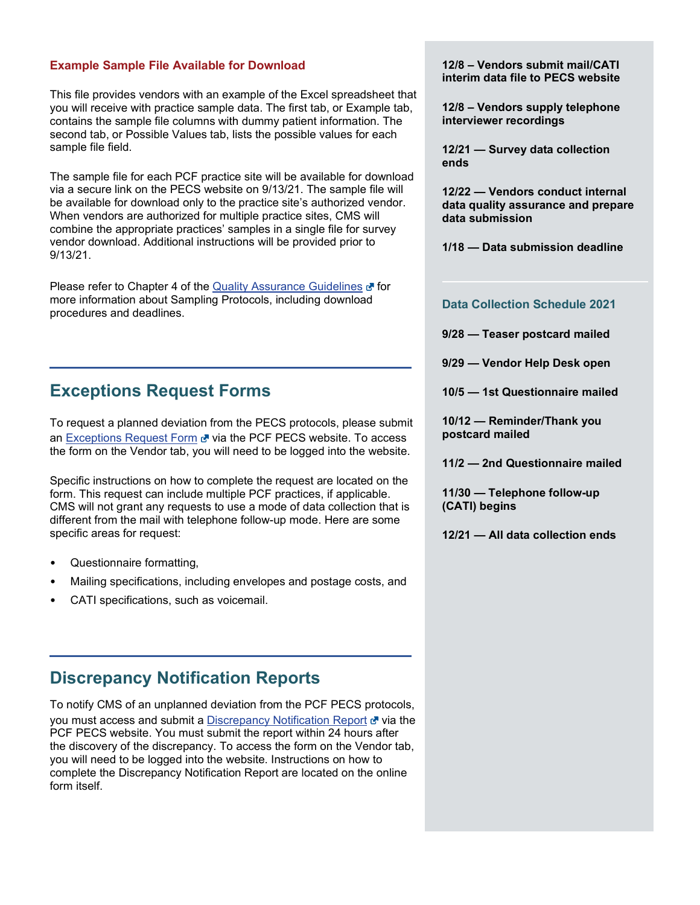#### **Example Sample File Available for Download**

This file provides vendors with an example of the Excel spreadsheet that you will receive with practice sample data. The first tab, or Example tab, contains the sample file columns with dummy patient information. The second tab, or Possible Values tab, lists the possible values for each sample file field.

The sample file for each PCF practice site will be available for download via a secure link on the PECS website on 9/13/21. The sample file will be available for download only to the practice site's authorized vendor. When vendors are authorized for multiple practice sites, CMS will combine the appropriate practices' samples in a single file for survey vendor download. Additional instructions will be provided prior to 9/13/21.

Please refer to Chapter 4 of the [Quality Assurance Guidelines](https://pcfpecs.org/Portals/0/SurveyMaterials/2021PECSQAG.pdf) **F** for more information about Sampling Protocols, including download procedures and deadlines.

### <span id="page-1-0"></span>**Exceptions Request Forms**

To request a planned deviation from the PECS protocols, please submit an [Exceptions Request Form](https://pcfpecs.org/Vendors/Exceptions-Request-Form) & via the PCF PECS website. To access the form on the Vendor tab, you will need to be logged into the website.

Specific instructions on how to complete the request are located on the form. This request can include multiple PCF practices, if applicable. CMS will not grant any requests to use a mode of data collection that is different from the mail with telephone follow-up mode. Here are some specific areas for request:

- Questionnaire formatting,
- Mailing specifications, including envelopes and postage costs, and
- CATI specifications, such as voicemail.

### <span id="page-1-1"></span>**Discrepancy Notification Reports**

To notify CMS of an unplanned deviation from the PCF PECS protocols, you must access and submit a [Discrepancy Notification Report](https://pcfpecs.org/Vendors/Discrepancy-Notification-Report-Form) of via the PCF PECS website. You must submit the report within 24 hours after the discovery of the discrepancy. To access the form on the Vendor tab, you will need to be logged into the website. Instructions on how to complete the Discrepancy Notification Report are located on the online form itself.

**12/8 – Vendors submit mail/CATI interim data file to PECS website** 

**12/8 – Vendors supply telephone interviewer recordings**

**12/21 — Survey data collection ends**

**12/22 — Vendors conduct internal data quality assurance and prepare data submission**

**1/18 — Data submission deadline**

#### **Data Collection Schedule 2021**

**9/28 — Teaser postcard mailed** 

**9/29 — Vendor Help Desk open** 

**10/5 — 1st Questionnaire mailed** 

**10/12 — Reminder/Thank you postcard mailed** 

**11/2 — 2nd Questionnaire mailed** 

**11/30 — Telephone follow-up (CATI) begins** 

**12/21 — All data collection ends**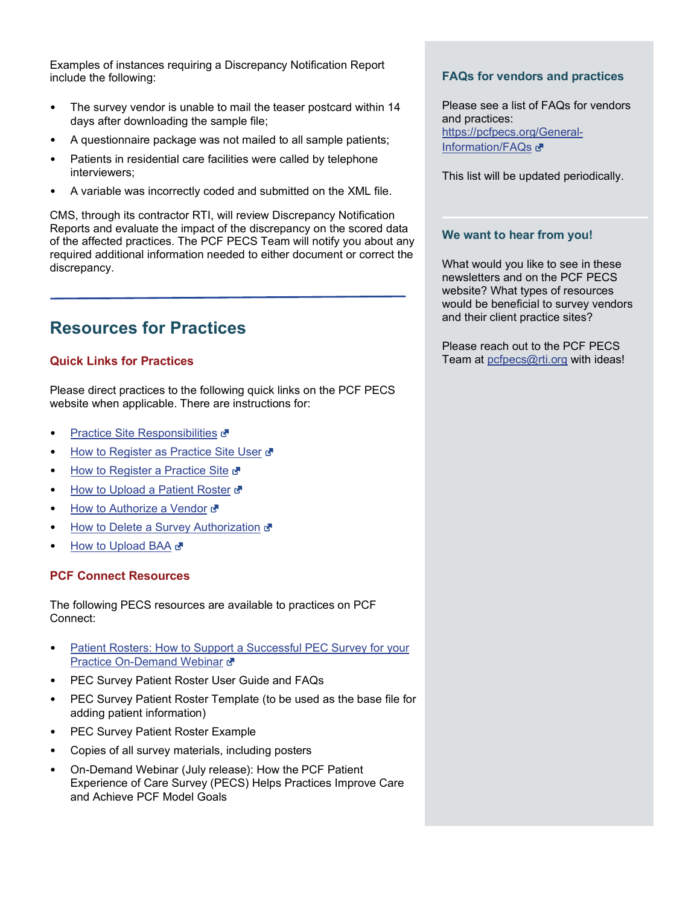Examples of instances requiring a Discrepancy Notification Report include the following:

- The survey vendor is unable to mail the teaser postcard within 14 days after downloading the sample file;
- A questionnaire package was not mailed to all sample patients;
- Patients in residential care facilities were called by telephone interviewers;
- A variable was incorrectly coded and submitted on the XML file.

CMS, through its contractor RTI, will review Discrepancy Notification Reports and evaluate the impact of the discrepancy on the scored data of the affected practices. The PCF PECS Team will notify you about any required additional information needed to either document or correct the discrepancy.

### <span id="page-2-0"></span>**Resources for Practices**

### **Quick Links for Practices**

Please direct practices to the following quick links on the PCF PECS website when applicable. There are instructions for:

- [Practice Site Responsibilities](https://pcfpecs.org/Portals/0/Docs/PracticeSiteResponsibilities.pdf) &
- [How to Register as Practice Site User](https://pcfpecs.org/Portals/0/Docs/HowRegisterPracticeSiteUser.pdf)
- **[How to Register a Practice Site](https://pcfpecs.org/Portals/0/Docs/HowRegisterPracticeSite.pdf) &**
- [How to Upload a Patient Roster](https://pcfpecs.org/Portals/0/Docs/HowUploadPatientRoster.pdf) &
- [How to Authorize a Vendor](https://pcfpecs.org/Portals/0/Docs/HowAuthorizeSurveyVendor.pdf) &
- [How to Delete a Survey Authorization](https://pcfpecs.org/Portals/0/Docs/HowDeleteSurveyVendorAuth.pdf) &
- **[How to Upload BAA](https://pcfpecs.org/Portals/0/Docs/HowUploadBAA.pdf)**

#### **PCF Connect Resources**

The following PECS resources are available to practices on PCF Connect:

- Patient Rosters: How to Support a Successful PEC Survey for your [Practice On-Demand Webinar](https://www.youtube.com/watch?v=QdCAob3aGEg) &
- PEC Survey Patient Roster User Guide and FAQs
- PEC Survey Patient Roster Template (to be used as the base file for adding patient information)
- PEC Survey Patient Roster Example
- Copies of all survey materials, including posters
- On-Demand Webinar (July release): How the PCF Patient Experience of Care Survey (PECS) Helps Practices Improve Care and Achieve PCF Model Goals

### **FAQs for vendors and practices**

Please see a list of FAQs for vendors and practices: [https://pcfpecs.org/General-](https://pcfpecs.org/General-Information/FAQs)[Information/FAQs](https://pcfpecs.org/General-Information/FAQs) &

This list will be updated periodically.

### **We want to hear from you!**

What would you like to see in these newsletters and on the PCF PECS website? What types of resources would be beneficial to survey vendors and their client practice sites?

Please reach out to the PCF PECS Team at [pcfpecs@rti.org](mailto:pcfpecs@rti.org) with ideas!